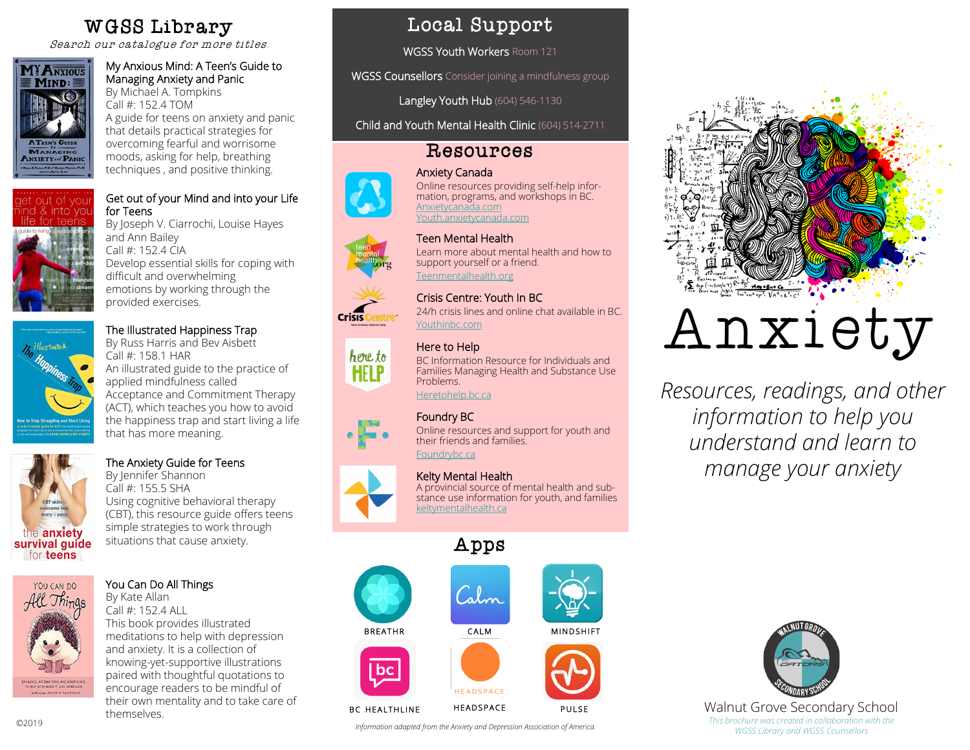## WGSS Library

Search our catalogue for more titles.



#### My Anxious Mind: A Teen's Guide to Managing Anxiety and Panic

By Michael A. Tompkins Call #: 152.4 TOM A guide for teens on anxiety and panic that details practical strategies for overcoming fearful and worrisome moods, asking for help, breathing techniques , and positive thinking.



#### Get out of your Mind and into your Life for Teens

By Joseph V. Ciarrochi, Louise Hayes and Ann Bailey Call #: 152.4 CIA Develop essential skills for coping with difficult and overwhelming emotions by working through the provided exercises.

### The Illustrated Happiness Trap

By Russ Harris and Bev Aisbett villustrated Call #: 158.1 HAR An illustrated guide to the practice of applied mindfulness called Acceptance and Commitment Therapy (ACT), which teaches you how to avoid the happiness trap and start living a life that has more meaning.



#### The Anxiety Guide for Teens

By Jennifer Shannon Call #: 155.5 SHA Using cognitive behavioral therapy (CBT), this resource guide offers teens simple strategies to work through situations that cause anxiety.



#### You Can Do All Things

By Kate Allan Call #: 152.4 ALL This book provides illustrated meditations to help with depression and anxiety. It is a collection of knowing-yet-supportive illustrations paired with thoughtful quotations to encourage readers to be mindful of their own mentality and to take care of themselves.

## Local Support

WGSS Youth Workers Room 121

WGSS Counsellors Consider joining a mindfulness group

Langley Youth Hub (604) 546-1130

Child and Youth Mental Health Clinic (604) 514-2711

## Resources



Crisis

#### Anxiety Canada Online resources providing self-help information, programs, and workshops in BC. Anxietycanada.com Youth.anxietycanada.com

#### Teen Mental Health

Learn more about mental health and how to support yourself or a friend. Teenmentalhealth.org

#### Crisis Centre: Youth In BC

24/h crisis lines and online chat available in BC. Youthinbc.com

#### Here to Help

here to BC Information Resource for Individuals and **HELP** Families Managing Health and Substance Use Problems.



# Foundry BC

Online resources and support for youth and their friends and families. Foundrybc.ca

#### Kelty Mental Health

A provincial source of mental health and substance use information for youth, and families keltymentalhealth.ca

# Apps



*Information adapted from the Anxiety and Depression Association of America.*



# Anxiety

*Resources, readings, and other information to help you understand and learn to manage your anxiety*



Walnut Grove Secondary School *This brochure was created in collaboration with the WGSS Library and WGSS Counsellors*